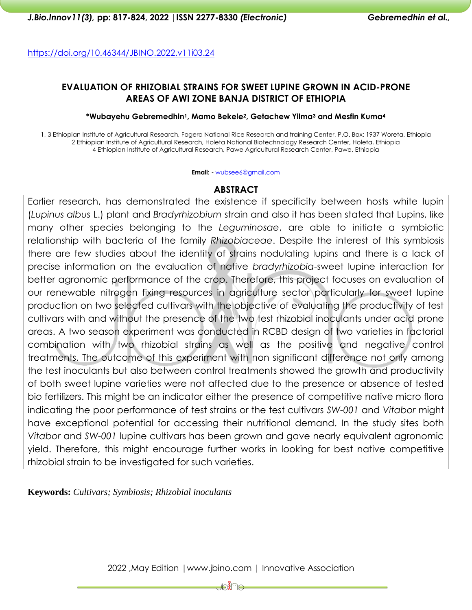<https://doi.org/10.46344/JBINO.2022.v11i03.24>

### **EVALUATION OF RHIZOBIAL STRAINS FOR SWEET LUPINE GROWN IN ACID-PRONE AREAS OF AWI ZONE BANJA DISTRICT OF ETHIOPIA**

#### **\*Wubayehu Gebremedhin1, Mamo Bekele2, Getachew Yilma<sup>3</sup> and Mesfin Kuma<sup>4</sup>**

1, 3 Ethiopian Institute of Agricultural Research, Fogera National Rice Research and training Center, P.O. Box: 1937 Woreta, Ethiopia 2 Ethiopian Institute of Agricultural Research, Holeta National Biotechnology Research Center, Holeta, Ethiopia 4 Ethiopian Institute of Agricultural Research, Pawe Agricultural Research Center, Pawe, Ethiopia

**Email: -** [wubsee6@gmail.com](mailto:wubsee6@gmail.com)

## **ABSTRACT**

Earlier research, has demonstrated the existence if specificity between hosts white lupin (*Lupinus albus* L.) plant and *Bradyrhizobium* strain and also it has been stated that Lupins, like many other species belonging to the *Leguminosae*, are able to initiate a symbiotic relationship with bacteria of the family *Rhizobiaceae*. Despite the interest of this symbiosis there are few studies about the identity of strains nodulating lupins and there is a lack of precise information on the evaluation of native *bradyrhizobia*-sweet lupine interaction for better agronomic performance of the crop. Therefore, this project focuses on evaluation of our renewable nitrogen fixing resources in agriculture sector particularly for sweet lupine production on two selected cultivars with the objective of evaluating the productivity of test cultivars with and without the presence of the two test rhizobial inoculants under acid prone areas. A two season experiment was conducted in RCBD design of two varieties in factorial combination with two rhizobial strains as well as the positive and negative control treatments. The outcome of this experiment with non significant difference not only among the test inoculants but also between control treatments showed the growth and productivity of both sweet lupine varieties were not affected due to the presence or absence of tested bio fertilizers. This might be an indicator either the presence of competitive native micro flora indicating the poor performance of test strains or the test cultivars *SW-001* and *Vitabor* might have exceptional potential for accessing their nutritional demand. In the study sites both *Vitabor* and *SW-001* lupine cultivars has been grown and gave nearly equivalent agronomic yield. Therefore, this might encourage further works in looking for best native competitive rhizobial strain to be investigated for such varieties.

**Keywords:** *Cultivars; Symbiosis; Rhizobial inoculants*

2022 ,May Edition |www.jbino.com | Innovative Association

bine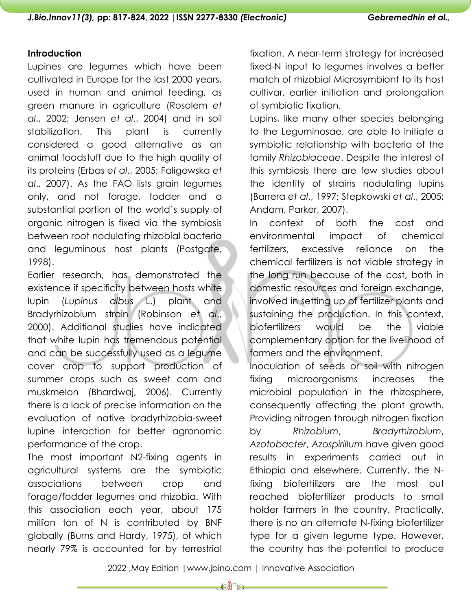### **Introduction**

Lupines are legumes which have been cultivated in Europe for the last 2000 years, used in human and animal feeding, as green manure in agriculture (Rosolem *et al*., 2002; Jensen *et al*., 2004) and in soil stabilization. This plant is currently considered a good alternative as an animal foodstuff due to the high quality of its proteins (Erbas *et al*., 2005; Faligowska *et al*., 2007). As the FAO lists grain legumes only, and not forage, fodder and a substantial portion of the world's supply of organic nitrogen is fixed via the symbiosis between root nodulating rhizobial bacteria and leguminous host plants (Postgate, 1998).

Earlier research, has demonstrated the existence if specificity between hosts white lupin (*Lupinus albus* L.) plant and Bradyrhizobium strain (Robinson *et al*., 2000). Additional studies have indicated that white lupin has tremendous potential and can be successfully used as a legume cover crop to support production of summer crops such as sweet corn and muskmelon (Bhardwaj, 2006). Currently there is a lack of precise information on the evaluation of native bradyrhizobia-sweet lupine interaction for better agronomic performance of the crop.

The most important N2-fixing agents in agricultural systems are the symbiotic associations between crop and forage/fodder legumes and rhizobia. With this association each year, about 175 million ton of N is contributed by BNF globally (Burns and Hardy, 1975), of which nearly 79% is accounted for by terrestrial

fixation. A near-term strategy for increased fixed-N input to legumes involves a better match of rhizobial Microsymbiont to its host cultivar, earlier initiation and prolongation of symbiotic fixation.

Lupins, like many other species belonging to the Leguminosae, are able to initiate a symbiotic relationship with bacteria of the family *Rhizobiaceae*. Despite the interest of this symbiosis there are few studies about the identity of strains nodulating lupins (Barrera *et al*., 1997; Stepkowski *et al*., 2005; Andam, Parker, 2007).

In context of both the cost and environmental impact of chemical fertilizers, excessive reliance on the chemical fertilizers is not viable strategy in the long run because of the cost, both in domestic resources and foreign exchange, involved in setting up of fertilizer plants and sustaining the production. In this context, biofertilizers would be the viable complementary option for the livelihood of farmers and the environment.

Inoculation of seeds or soil with nitrogen fixing microorganisms increases the microbial population in the rhizosphere, consequently affecting the plant growth. Providing nitrogen through nitrogen fixation by *Rhizobium*, *Bradyrhizobium*, *Azotobacter*, *Azospirillum* have given good results in experiments carried out in Ethiopia and elsewhere. Currently, the Nfixing biofertilizers are the most out reached biofertilizer products to small holder farmers in the country. Practically, there is no an alternate N-fixing biofertilizer type for a given legume type. However, the country has the potential to produce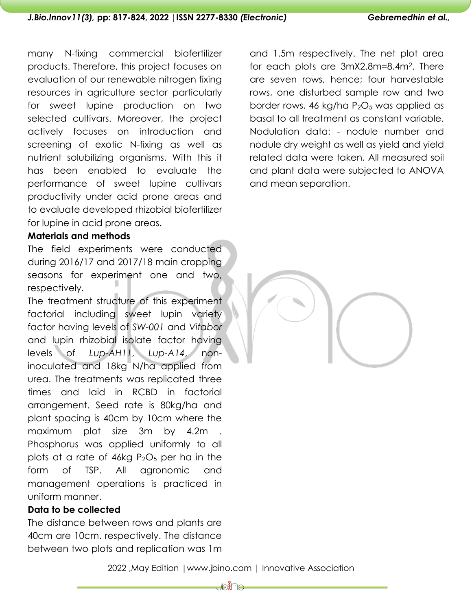many N-fixing commercial biofertilizer products. Therefore, this project focuses on evaluation of our renewable nitrogen fixing resources in agriculture sector particularly for sweet lupine production on two selected cultivars. Moreover, the project actively focuses on introduction and screening of exotic N-fixing as well as nutrient solubilizing organisms. With this it has been enabled to evaluate the performance of sweet lupine cultivars productivity under acid prone areas and to evaluate developed rhizobial biofertilizer for lupine in acid prone areas.

### **Materials and methods**

The field experiments were conducted during 2016/17 and 2017/18 main cropping seasons for experiment one and two, respectively.

The treatment structure of this experiment factorial including sweet lupin variety factor having levels of *SW-001* and *Vitabor* and lupin rhizobial isolate factor having levels of *Lup-AH11*, *Lup-A14*, noninoculated and 18kg N/ha applied from urea. The treatments was replicated three times and laid in RCBD in factorial arrangement. Seed rate is 80kg/ha and plant spacing is 40cm by 10cm where the maximum plot size 3m by 4.2m . Phosphorus was applied uniformly to all plots at a rate of  $46kg P_2O_5$  per ha in the form of TSP. All agronomic and management operations is practiced in uniform manner.

## **Data to be collected**

The distance between rows and plants are 40cm are 10cm. respectively. The distance between two plots and replication was 1m and 1.5m respectively. The net plot area for each plots are 3mX2.8m=8.4m2. There are seven rows, hence; four harvestable rows, one disturbed sample row and two border rows. 46 kg/ha  $P_2O_5$  was applied as basal to all treatment as constant variable. Nodulation data: - nodule number and nodule dry weight as well as yield and yield related data were taken. All measured soil and plant data were subjected to ANOVA and mean separation.

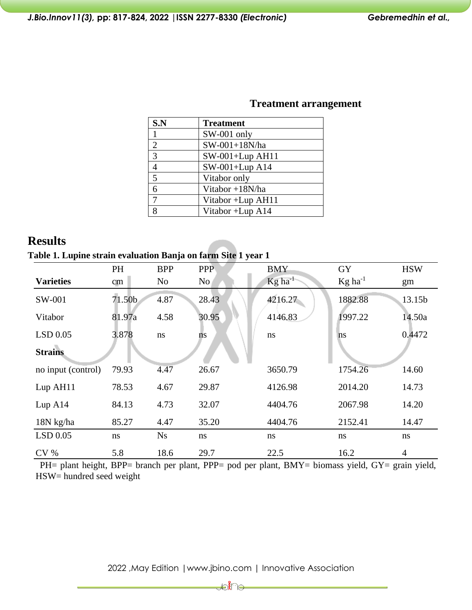| S.N            | <b>Treatment</b>   |
|----------------|--------------------|
|                | SW-001 only        |
| $\overline{2}$ | SW-001+18N/ha      |
| 3              | $SW-001+Lup$ AH11  |
| 4              | SW-001+Lup A14     |
| 5              | Vitabor only       |
| 6              | Vitabor +18N/ha    |
|                | Vitabor + Lup AH11 |
| 8              | Vitabor +Lup A14   |

## **Treatment arrangement**

# **Results**

**Table 1. Lupine strain evaluation Banja on farm Site 1 year 1**

|                    | PH            | <b>BPP</b>     | <b>PPP</b>      | <b>BMY</b>            | <b>GY</b>             | <b>HSW</b>     |
|--------------------|---------------|----------------|-----------------|-----------------------|-----------------------|----------------|
| <b>Varieties</b>   | cm            | N <sub>o</sub> | No <sub>1</sub> | $Kg$ ha <sup>-1</sup> | $Kg$ ha <sup>-1</sup> | gm             |
| SW-001             | 71.50b        | 4.87           | 28.43           | 4216.27               | 1882.88               | 13.15b         |
| Vitabor            | 81.97a        | 4.58           | 30.95           | 4146.83               | 1997.22               | 14.50a         |
| $LSD$ 0.05         | 3.878         | $\bf ns$       | ns              | ns                    | ns                    | 0.4472         |
| <b>Strains</b>     |               |                |                 |                       |                       |                |
| no input (control) | 79.93         | 4.47           | 26.67           | 3650.79               | 1754.26               | 14.60          |
| Lup AH11           | 78.53         | 4.67           | 29.87           | 4126.98               | 2014.20               | 14.73          |
| Lup A14            | 84.13         | 4.73           | 32.07           | 4404.76               | 2067.98               | 14.20          |
| 18N kg/ha          | 85.27         | 4.47           | 35.20           | 4404.76               | 2152.41               | 14.47          |
| $LSD$ 0.05         | <sub>ns</sub> | <b>Ns</b>      | ns              | ns                    | ns                    | ns             |
| CV <sub>0</sub>    | 5.8           | 18.6           | 29.7            | 22.5                  | 16.2                  | $\overline{4}$ |

PH= plant height, BPP= branch per plant, PPP= pod per plant, BMY= biomass yield, GY= grain yield, HSW= hundred seed weight

**Jo∦**∩⊖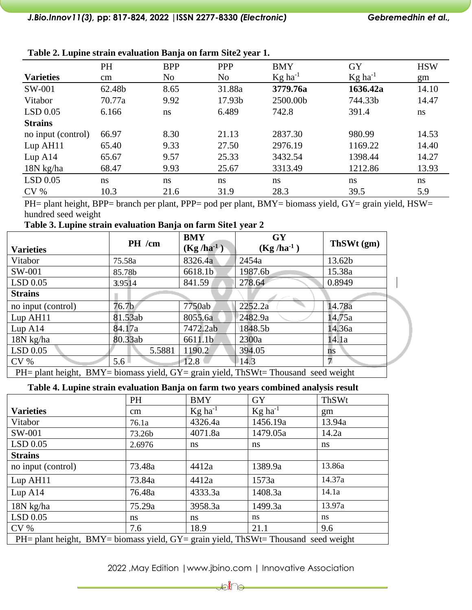|                    |        | $\cdot$    | $\bullet$      |                       |                       |            |
|--------------------|--------|------------|----------------|-----------------------|-----------------------|------------|
|                    | PH     | <b>BPP</b> | <b>PPP</b>     | <b>BMY</b>            | <b>GY</b>             | <b>HSW</b> |
| <b>Varieties</b>   | cm     | No         | N <sub>o</sub> | $Kg$ ha <sup>-1</sup> | $Kg$ ha <sup>-1</sup> | gm         |
| SW-001             | 62.48b | 8.65       | 31.88a         | 3779.76a              | 1636.42a              | 14.10      |
| Vitabor            | 70.77a | 9.92       | 17.93b         | 2500.00b              | 744.33b               | 14.47      |
| $LSD$ 0.05         | 6.166  | ns         | 6.489          | 742.8                 | 391.4                 | ns         |
| <b>Strains</b>     |        |            |                |                       |                       |            |
| no input (control) | 66.97  | 8.30       | 21.13          | 2837.30               | 980.99                | 14.53      |
| Lup AH11           | 65.40  | 9.33       | 27.50          | 2976.19               | 1169.22               | 14.40      |
| Lup A14            | 65.67  | 9.57       | 25.33          | 3432.54               | 1398.44               | 14.27      |
| $18N$ kg/ha        | 68.47  | 9.93       | 25.67          | 3313.49               | 1212.86               | 13.93      |
| $LSD$ 0.05         | ns     | ns         | ns             | ns                    | ns                    | ns         |
| CV <sub>0</sub>    | 10.3   | 21.6       | 31.9           | 28.3                  | 39.5                  | 5.9        |

**Table 2. Lupine strain evaluation Banja on farm Site2 year 1.**

PH= plant height, BPP= branch per plant, PPP= pod per plant, BMY= biomass yield, GY= grain yield, HSW= hundred seed weight

**Table 3. Lupine strain evaluation Banja on farm Site1 year 2**

| <b>Varieties</b>                                                                   | PH /cm            | <b>BMY</b><br>$(Kg/ha^{-1})$ | <b>GY</b><br>$(Kg/ha^{-1})$ | ThSWt (gm) |  |  |
|------------------------------------------------------------------------------------|-------------------|------------------------------|-----------------------------|------------|--|--|
| Vitabor                                                                            | 75.58a            | 8326.4a                      | 2454a                       | 13.62b     |  |  |
| SW-001                                                                             | 85.78b            | 6618.1b                      | 1987.6b                     | 15.38a     |  |  |
| LSD 0.05                                                                           | 3.9514            | 841.59                       | 278.64                      | 0.8949     |  |  |
| <b>Strains</b>                                                                     |                   |                              |                             |            |  |  |
| no input (control)                                                                 | 76.7 <sub>b</sub> | 7750ab                       | 2252.2a                     | 14.78a     |  |  |
| Lup AH11                                                                           | 81.53ab           | 8055.6a                      | 2482.9a                     | 14.75a     |  |  |
| Lup A14                                                                            | 84.17a            | 7472.2ab                     | 1848.5b                     | 14.36a     |  |  |
| 18N kg/ha                                                                          | 80.33ab           | 6611.1b                      | 2300a                       | 14.1a      |  |  |
| LSD 0.05                                                                           | 5.5881            | 1190.2                       | 394.05                      | ns         |  |  |
| CV <sub>0</sub>                                                                    | $5.6\square$      | 12.8                         | $\vert$ 14.3                | 7          |  |  |
| PH= plant height, BMY= biomass yield, GY= grain yield, ThSWt= Thousand seed weight |                   |                              |                             |            |  |  |

**Table 4. Lupine strain evaluation Banja on farm two years combined analysis result**

|                                                                                          | <b>PH</b> | <b>BMY</b>            | <b>GY</b>                    | ThSWt  |  |
|------------------------------------------------------------------------------------------|-----------|-----------------------|------------------------------|--------|--|
| <b>Varieties</b>                                                                         | $\rm cm$  | $Kg$ ha <sup>-1</sup> | $\text{Kg}$ ha <sup>-1</sup> | gm     |  |
| Vitabor                                                                                  | 76.1a     | 4326.4a               | 1456.19a                     | 13.94a |  |
| SW-001                                                                                   | 73.26b    | 4071.8a               | 1479.05a                     | 14.2a  |  |
| LSD 0.05                                                                                 | 2.6976    | ns                    | ns                           | ns     |  |
| <b>Strains</b>                                                                           |           |                       |                              |        |  |
| no input (control)                                                                       | 73.48a    | 4412a                 | 1389.9a                      | 13.86a |  |
| Lup AH11                                                                                 | 73.84a    | 4412a                 | 1573a                        | 14.37a |  |
| Lup A14                                                                                  | 76.48a    | 4333.3a               | 1408.3a                      | 14.1a  |  |
| 18N kg/ha                                                                                | 75.29a    | 3958.3a               | 1499.3a                      | 13.97a |  |
| $LSD$ 0.05                                                                               | ns        | ns                    | ns                           | ns.    |  |
| CV <sub>%</sub>                                                                          | 7.6       | 18.9                  | 21.1                         | 9.6    |  |
| $PH =$ plant height, BMY= biomass yield, $GY =$ grain yield, ThSWt= Thousand seed weight |           |                       |                              |        |  |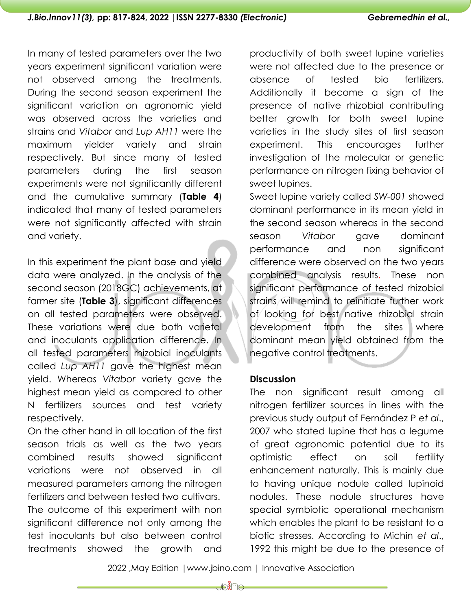In many of tested parameters over the two years experiment significant variation were not observed among the treatments. During the second season experiment the significant variation on agronomic yield was observed across the varieties and strains and *Vitabor* and *Lup AH11* were the maximum yielder variety and strain respectively. But since many of tested parameters during the first season experiments were not significantly different and the cumulative summary (**Table 4**) indicated that many of tested parameters were not significantly affected with strain and variety.

In this experiment the plant base and yield data were analyzed. In the analysis of the second season (2018GC) achievements, at farmer site (**Table 3**), significant differences on all tested parameters were observed. These variations were due both varietal and inoculants application difference. In all tested parameters rhizobial inoculants called *Lup AH11* gave the highest mean yield. Whereas *Vitabor* variety gave the highest mean yield as compared to other N fertilizers sources and test variety respectively.

On the other hand in all location of the first season trials as well as the two years combined results showed significant variations were not observed in all measured parameters among the nitrogen fertilizers and between tested two cultivars. The outcome of this experiment with non significant difference not only among the test inoculants but also between control treatments showed the growth and

productivity of both sweet lupine varieties were not affected due to the presence or absence of tested bio fertilizers. Additionally it become a sign of the presence of native rhizobial contributing better growth for both sweet lupine varieties in the study sites of first season experiment. This encourages further investigation of the molecular or genetic performance on nitrogen fixing behavior of sweet lupines.

Sweet lupine variety called *SW-001* showed dominant performance in its mean yield in the second season whereas in the second season *Vitabor* gave dominant performance and non significant difference were observed on the two years combined analysis results. These non significant performance of tested rhizobial strains will remind to reinitiate further work of looking for best native rhizobial strain development from the sites where dominant mean yield obtained from the negative control treatments.

## **Discussion**

The non significant result among all nitrogen fertilizer sources in lines with the previous study output of Fernández P *et al*., 2007 who stated lupine that has a legume of great agronomic potential due to its optimistic effect on soil fertility enhancement naturally. This is mainly due to having unique nodule called lupinoid nodules. These nodule structures have special symbiotic operational mechanism which enables the plant to be resistant to a biotic stresses. According to Michin *et al*., 1992 this might be due to the presence of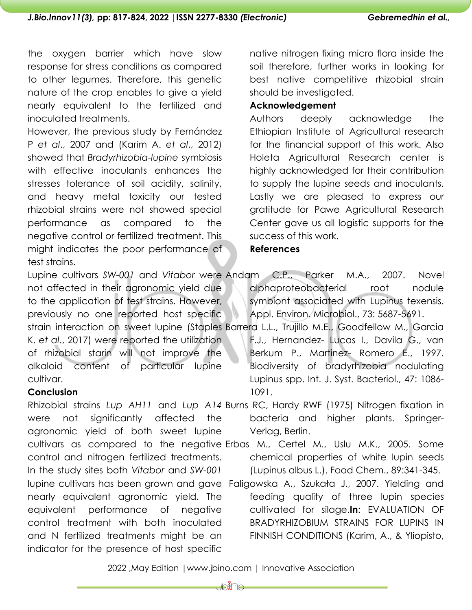### *J.Bio.Innov11(3),* **pp: 817-824, 2022 |ISSN 2277-8330** *(Electronic) Gebremedhin et al.,*

the oxygen barrier which have slow response for stress conditions as compared to other legumes. Therefore, this genetic nature of the crop enables to give a yield nearly equivalent to the fertilized and inoculated treatments.

However, the previous study by Fernández P *et al*., 2007 and (Karim A. *et al*., 2012) showed that *Bradyrhizobia-lupine* symbiosis with effective inoculants enhances the stresses tolerance of soil acidity, salinity, and heavy metal toxicity our tested rhizobial strains were not showed special performance as compared to the negative control or fertilized treatment. This might indicates the poor performance of test strains.

native nitrogen fixing micro flora inside the soil therefore, further works in looking for best native competitive rhizobial strain should be investigated.

### **Acknowledgement**

Authors deeply acknowledge the Ethiopian Institute of Agricultural research for the financial support of this work. Also Holeta Agricultural Research center is highly acknowledged for their contribution to supply the lupine seeds and inoculants. Lastly we are pleased to express our gratitude for Pawe Agricultural Research Center gave us all logistic supports for the success of this work.

### **References**

Lupine cultivars *SW-001* and *Vitabor* were Andam C.P., Parker M.A., 2007. Novel not affected in their agronomic yield due to the application of test strains. However, previously no one reported host specific strain interaction on sweet lupine (Staples Barrera L.L., Trujillo M.E., Goodfellow M., Garcia K. *et al*., 2017) were reported the utilization of rhizobial starin will not improve the alkaloid content of particular lupine cultivar.

### **Conclusion**

were not significantly affected the agronomic yield of both sweet lupine control and nitrogen fertilized treatments. In the study sites both *Vitabor* and *SW-001* nearly equivalent agronomic yield. The equivalent performance of negative control treatment with both inoculated and N fertilized treatments might be an indicator for the presence of host specific

alphaproteobacterial root nodule symbiont associated with Lupinus texensis. Appl. Environ. Microbiol., 73: 5687-5691.

F.J., Hernandez- Lucas I., Davila G., van Berkum P., Martinez- Romero E., 1997. Biodiversity of bradyrhizobia nodulating Lupinus spp. Int. J. Syst. Bacteriol., 47: 1086- 1091.

Rhizobial strains *Lup AH11* and *Lup A14* Burns RC, Hardy RWF (1975) Nitrogen fixation in bacteria and higher plants. Springer-Verlag, Berlin.

cultivars as compared to the negative Erbas M., Certel M., Uslu M.K., 2005. Some chemical properties of white lupin seeds (Lupinus albus L.). Food Chem., 89:341-345.

lupine cultivars has been grown and gave Faligowska A., Szukała J., 2007. Yielding and feeding quality of three lupin species cultivated for silage.**In**: EVALUATION OF BRADYRHIZOBIUM STRAINS FOR LUPINS IN FINNISH CONDITIONS (Karim, A., & Yliopisto,